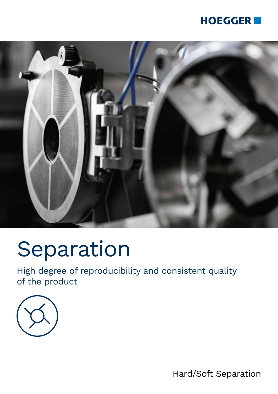### **HOEGGER**



# Separation

High degree of reproducibility and consistent quality of the product



Hard/Soft Separation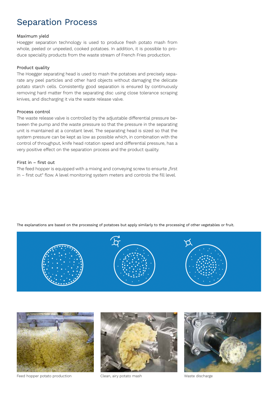### Separation Process

#### Maximum yield

Hoegger separation technology is used to produce fresh potato mash from whole, peeled or unpeeled, cooked potatoes. In addition, it is possible to produce speciality products from the waste stream of French Fries production.

#### Product quality

The Hoegger separating head is used to mash the potatoes and precisely separate any peel particles and other hard objects without damaging the delicate potato starch cells. Consistently good separation is ensured by continuously removing hard matter from the separating disc using close tolerance scraping knives, and discharging it via the waste release valve.

#### Process control

The waste release valve is controlled by the adjustable differential pressure between the pump and the waste pressure so that the pressure in the separating unit is maintained at a constant level. The separating head is sized so that the system pressure can be kept as low as possible which, in combination with the control of throughput, knife head rotation speed and differential pressure, has a very positive effect on the separation process and the product quality.

### First in – first out

The feed hopper is equipped with a mixing and conveying screw to ensurte "first in – first out" flow. A level monitoring system meters and controls the fill level.



The explanations are based on the processing of potatoes but apply similarly to the processing of other vegetables or fruit.



Feed hopper potato production Clean, airy potato mash Waste discharge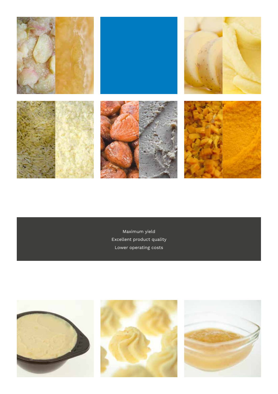

Maximum yield Excellent product quality Lower operating costs





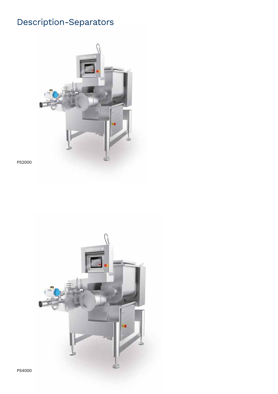## Description-Separators



PS2000

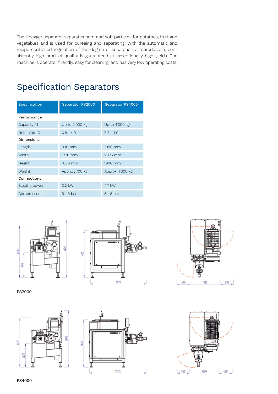The Hoegger separator separates hard and soft particles for potatoes, fruit and vegetables and is used for pureeing and separating. With the automatic and recipe controlled regulation of the degree of separation a reproducible, consistently high product quality is guaranteed at exceptionally high yields. The machine is operator friendly, easy for cleaning, and has very low operating costs.

| Specification            | Separator PS2000 | Separator PS4000 |
|--------------------------|------------------|------------------|
| Performance              |                  |                  |
| Capacity / h             | Up to 2'000 kg   | Up to 4'000 kg   |
| Hole plate $\varnothing$ | $0.8 - 4.0$      | $0.8 - 4.0$      |
| Dimensions               |                  |                  |
| Length                   | 930 mm           | 1090 mm          |
| Width                    | 1770 mm          | 2025 mm          |
| Height                   | 1820 mm          | 1990 mm          |
| Weight                   | Approx. 700 kg   | Approx. 1'000 kg |
| Connections              |                  |                  |
| Electric power           | $3.2$ kW         | 4.7 kW           |
| Compressed air           | $5 - 8$ bar      | $5-8$ bar        |

### Specification Separators





PS2000







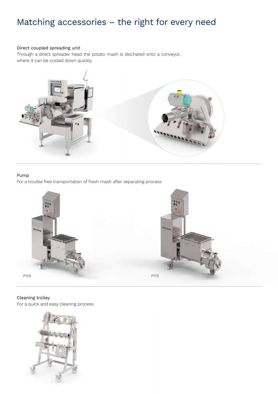### Matching accessories – the right for every need

### Direct coupled spreading unit

Through a direct spreader head the potato mash is dischared onto a conveyor, where it can be cooled down quickly.



#### Pump

For a trouble free transportation of fresh mash after separating process



### Cleaning trolley

For a quick and easy cleaning process

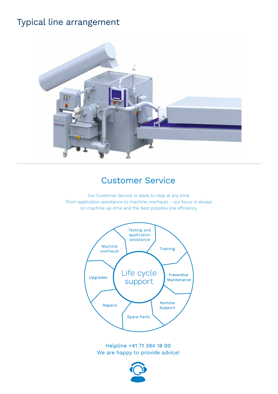### Typical line arrangement



### Customer Service

Our Customer Service is ready to help at any time. From application assistance to machine overhauls − our focus is always on machine up-time and the best possible line efficiency.



Helpline +41 71 394 18 00 We are happy to provide advice!